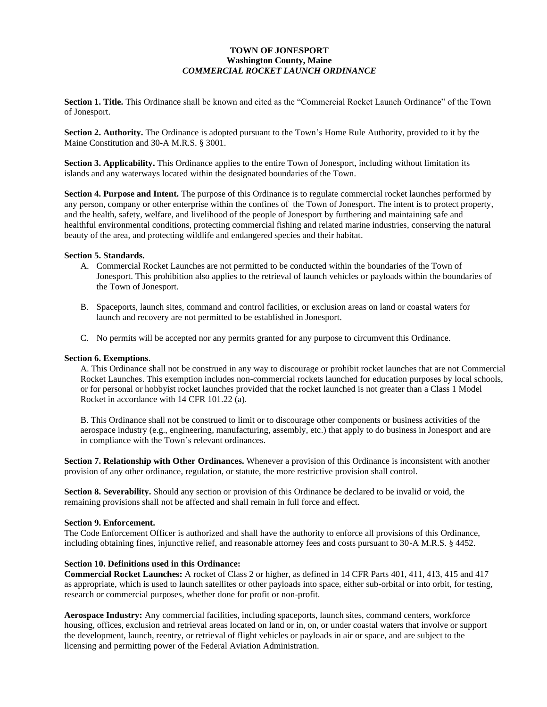## **TOWN OF JONESPORT Washington County, Maine** *COMMERCIAL ROCKET LAUNCH ORDINANCE*

**Section 1. Title.** This Ordinance shall be known and cited as the "Commercial Rocket Launch Ordinance" of the Town of Jonesport.

**Section 2. Authority.** The Ordinance is adopted pursuant to the Town's Home Rule Authority, provided to it by the Maine Constitution and 30-A M.R.S. § 3001.

**Section 3. Applicability.** This Ordinance applies to the entire Town of Jonesport, including without limitation its islands and any waterways located within the designated boundaries of the Town.

**Section 4. Purpose and Intent.** The purpose of this Ordinance is to regulate commercial rocket launches performed by any person, company or other enterprise within the confines of the Town of Jonesport. The intent is to protect property, and the health, safety, welfare, and livelihood of the people of Jonesport by furthering and maintaining safe and healthful environmental conditions, protecting commercial fishing and related marine industries, conserving the natural beauty of the area, and protecting wildlife and endangered species and their habitat.

### **Section 5. Standards.**

- A. Commercial Rocket Launches are not permitted to be conducted within the boundaries of the Town of Jonesport. This prohibition also applies to the retrieval of launch vehicles or payloads within the boundaries of the Town of Jonesport.
- B. Spaceports, launch sites, command and control facilities, or exclusion areas on land or coastal waters for launch and recovery are not permitted to be established in Jonesport.
- C. No permits will be accepted nor any permits granted for any purpose to circumvent this Ordinance.

### **Section 6. Exemptions**.

A. This Ordinance shall not be construed in any way to discourage or prohibit rocket launches that are not Commercial Rocket Launches. This exemption includes non-commercial rockets launched for education purposes by local schools, or for personal or hobbyist rocket launches provided that the rocket launched is not greater than a Class 1 Model Rocket in accordance with 14 CFR 101.22 (a).

B. This Ordinance shall not be construed to limit or to discourage other components or business activities of the aerospace industry (e.g., engineering, manufacturing, assembly, etc.) that apply to do business in Jonesport and are in compliance with the Town's relevant ordinances.

**Section 7. Relationship with Other Ordinances.** Whenever a provision of this Ordinance is inconsistent with another provision of any other ordinance, regulation, or statute, the more restrictive provision shall control.

**Section 8. Severability.** Should any section or provision of this Ordinance be declared to be invalid or void, the remaining provisions shall not be affected and shall remain in full force and effect.

#### **Section 9. Enforcement.**

The Code Enforcement Officer is authorized and shall have the authority to enforce all provisions of this Ordinance, including obtaining fines, injunctive relief, and reasonable attorney fees and costs pursuant to 30-A M.R.S. § 4452.

#### **Section 10. Definitions used in this Ordinance:**

**Commercial Rocket Launches:** A rocket of Class 2 or higher, as defined in 14 CFR Parts 401, 411, 413, 415 and 417 as appropriate, which is used to launch satellites or other payloads into space, either sub-orbital or into orbit, for testing, research or commercial purposes, whether done for profit or non-profit.

**Aerospace Industry:** Any commercial facilities, including spaceports, launch sites, command centers, workforce housing, offices, exclusion and retrieval areas located on land or in, on, or under coastal waters that involve or support the development, launch, reentry, or retrieval of flight vehicles or payloads in air or space, and are subject to the licensing and permitting power of the Federal Aviation Administration.